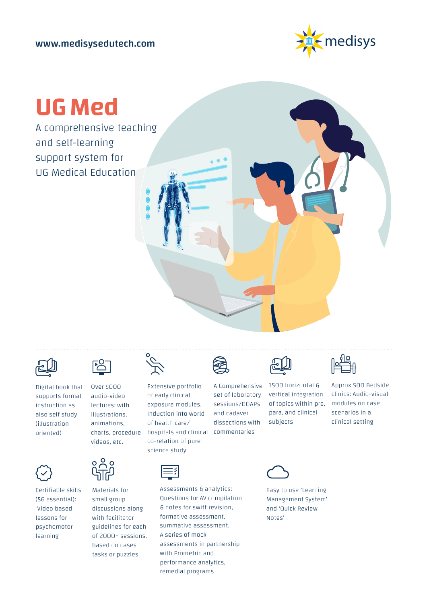

# **UG Med**

A comprehensive teaching and self-learning support system for UG Medical Education



Digital book that supports formal instruction as also self study (illustration oriented)



Certifiable skills (56 essential): Video based lessons for psychomotor learning



Over 5000 audio-video lectures: with illustrations, animations, charts, procedure videos, etc.



Materials for small group discussions along with facilitator guidelines for each of 2000+ sessions, based on cases tasks or puzzles



Extensive portfolio of early clinical exposure modules. Induction into world of health care/ hospitals and clinical commentaries co-relation of pure science study



A Comprehensive set of laboratory sessions/DOAPs and cadaver dissections with



1500 horizontal & vertical integration of topics within pre, para, and clinical subjects



Approx 500 Bedside clinics: Audio-visual modules on case scenarios in a clinical setting



Assessments & analytics: Questions for AV compilation & notes for swift revision, formative assessment, summative assessment. A series of mock assessments in partnership with Prometric and performance analytics, remedial programs



Easy to use 'Learning Management System' and 'Quick Review Notes'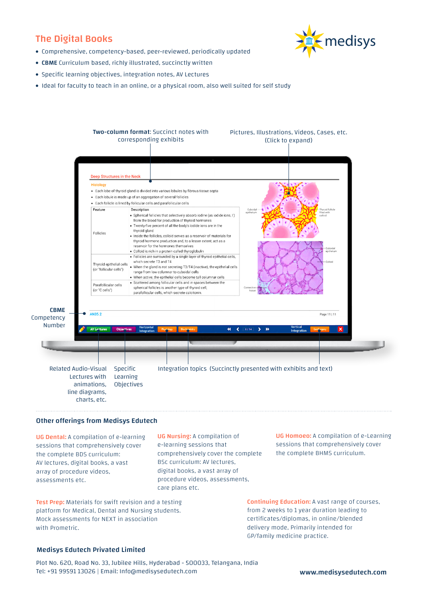# The Digital Books

- medisys
- Comprehensive, competency-based, peer-reviewed, periodically updated
- CBME Curriculum based, richly illustrated, succinctly written
- Specific learning objectives, integration notes, AV Lectures
- Ideal for faculty to teach in an online, or a physical room, also well suited for self study



## Other offerings from Medisys Edutech

UG Dental: A compilation of e-learning sessions that comprehensively cover the complete BDS curriculum: AV lectures, digital books, a vast array of procedure videos, assessments etc.

UG Nursing: A compilation of e-learning sessions that comprehensively cover the complete BSc curriculum: AV lectures, digital books, a vast array of procedure videos, assessments, care plans etc.

Test Prep: Materials for swift revision and a testing platform for Medical, Dental and Nursing students. Mock assessments for NEXT in association with Prometric.

UG Homoeo: A compilation of e-Learning sessions that comprehensively cover the complete BHMS curriculum.

Continuing Education: A vast range of courses, from 2 weeks to 1 year duration leading to certificates/diplomas, in online/blended delivery mode, Primarily intended for GP/family medicine practice.

### Medisys Edutech Privated Limited

Plot No. 620, Road No. 33, Jubilee Hills, Hyderabad - 500033, Telangana, India Tel: +91 99591 13026 | Email: Info@medisysedutech.com www.medisysedutech.com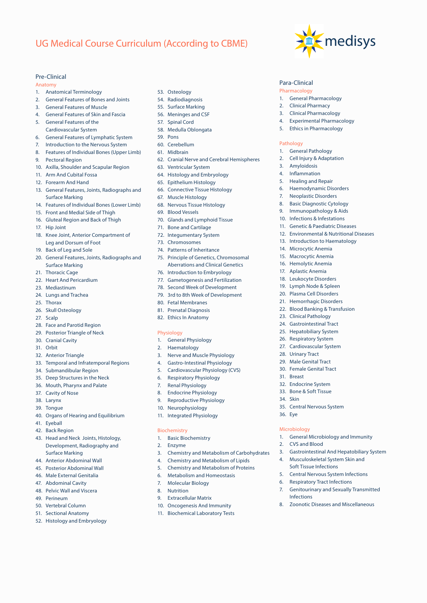# UG Medical Course Curriculum (According to CBME)

## Pre-Clinical

#### Anatomy

- 1. Anatomical Terminology
- 2. General Features of Bones and Joints
- 3. General Features of Muscle
- 4. General Features of Skin and Fascia
- 5. General Features of the Cardiovascular System
- 6. General Features of Lymphatic System
- 7. Introduction to the Nervous System
- 8. Features of Individual Bones (Upper Limb)
- 9. Pectoral Region
- 10. Axilla, Shoulder and Scapular Region
- 11. Arm And Cubital Fossa
- 12. Forearm And Hand
- 13. General Features, Joints, Radiographs and Surface Marking
- 14. Features of Individual Bones (Lower Limb)
- 15. Front and Medial Side of Thigh
- 16. Gluteal Region and Back of Thigh
- 17. Hip Joint
- 18. Knee Joint, Anterior Compartment of Leg and Dorsum of Foot
- 19. Back of Leg and Sole
- 20. General Features, Joints, Radiographs and Surface Marking
- 21. Thoracic Cage
- 22. Heart And Pericardium
- 23. Mediastinum
- 24. Lungs and Trachea
- 25. Thorax
- 26. Skull Osteology
- 27. Scalp
- 28. Face and Parotid Region
- 29. Posterior Triangle of Neck
- 30. Cranial Cavity
- 31. Orbit
- 32. Anterior Triangle
- 33. Temporal and Infratemporal Regions
- 34. Submandibular Region
- 35. Deep Structures in the Neck
- 36. Mouth, Pharynx and Palate
- 37. Cavity of Nose
- 38. Larynx
- 39. Tongue
- 40. Organs of Hearing and Equilibrium
- 41. Eyeball
- 42. Back Region
- 43. Head and Neck Joints, Histology, Development, Radiography and Surface Marking
- 44. Anterior Abdominal Wall
- 45. Posterior Abdominal Wall
- 46. Male External Genitalia
- 47. Abdominal Cavity
- 48. Pelvic Wall and Viscera
- 49. Perineum
- 50. Vertebral Column
- 51. Sectional Anatomy
- 52. Histology and Embryology
- 53. Osteology
- 54. Radiodiagnosis
- 55. Surface Marking
- 56. Meninges and CSF
- 57. Spinal Cord
- 58. Medulla Oblongata
- 59. Pons
- 60. Cerebellum
- 61. Midbrain
- 62. Cranial Nerve and Cerebral Hemispheres

medisys

Para-Clinical Pharmacology

Pathology

31. Breast

34. Skin

36. Eye

Microbiology

2. CVS and Blood

Infections

32. Endocrine System 33. Bone & Soft Tissue

35. Central Nervous System

1. General Microbiology and Immunity

8. Zoonotic Diseases and Miscellaneous

3. Gastrointestinal And Hepatobiliary System 4. Musculoskeletal System Skin and Soft Tissue Infections 5. Central Nervous System Infections Respiratory Tract Infections 7. Genitourinary and Sexually Transmitted

1. General Pharmacology 2. Clinical Pharmacy 3. Clinical Pharmacology 4. Experimental Pharmacology 5. Ethics in Pharmacology

1. General Pathology 2. Cell Injury & Adaptation

3. Amyloidosis 4. Inflammation 5. Healing and Repair 6. Haemodynamic Disorders 7. Neoplastic Disorders 8. Basic Diagnostic Cytology 9. Immunopathology & Aids 10. Infections & Infestations 11. Genetic & Paediatric Diseases 12. Environmental & Nutritional Diseases 13. Introduction to Haematology 14. Microcytic Anemia 15. Macrocytic Anemia 16. Hemolytic Anemia 17. Aplastic Anemia 18. Leukocyte Disorders 19. Lymph Node & Spleen 20. Plasma Cell Disorders 21. Hemorrhagic Disorders 22. Blood Banking & Transfusion 23. Clinical Pathology 24. Gastrointestinal Tract 25. Hepatobiliary System 26. Respiratory System 27. Cardiovascular System 28. Urinary Tract 29. Male Genital Tract 30. Female Genital Tract

- 63. Ventricular System
- 64. Histology and Embryology
- 65. Epithelium Histology
- 66. Connective Tissue Histology
- 67. Muscle Histology
- 68. Nervous Tissue Histology
- 69. Blood Vessels
- 70. Glands and Lymphoid Tissue
- 71. Bone and Cartilage
- 72. Integumentary System
- 73. Chromosomes
- 74. Patterns of Inheritance
- 75. Principle of Genetics, Chromosomal Aberrations and Clinical Genetics
- 76. Introduction to Embryology 77. Gametogenesis and Fertilization
- 78. Second Week of Development
- 79. 3rd to 8th Week of Development
- 80. Fetal Membranes
- 81. Prenatal Diagnosis
- 82. Ethics In Anatomy

## Physiology

- 1. General Physiology
- 2. Haematology
- 3. Nerve and Muscle Physiology
- 4. Gastro-Intestinal Physiology
- 5. Cardiovascular Physiology (CVS)
- 6. Respiratory Physiology
- 7. Renal Physiology
- 8. Endocrine Physiology
- 9. Reproductive Physiology
- 10. Neurophysiology
- 11. Integrated Physiology

#### Biochemistry

1. Basic Biochemistry

7. Molecular Biology 8. Nutrition

9. Extracellular Matrix 10. Oncogenesis And Immunity 11. Biochemical Laboratory Tests

- 2. Enzyme
- 3. Chemistry and Metabolism of Carbohydrates

4. Chemistry and Metabolism of Lipids 5. Chemistry and Metabolism of Proteins 6. Metabolism and Homeostasis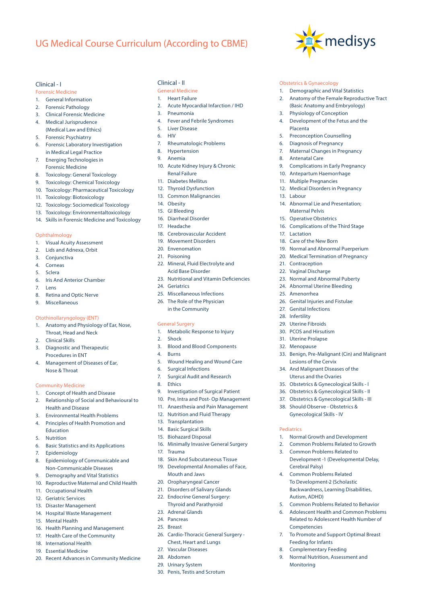# UG Medical Course Curriculum (According to CBME)

#### Clinical - I

Forensic Medicine

- 1. General Information
- 2. Forensic Pathology
- 3. Clinical Forensic Medicine
- 4. Medical Jurisprudence
- (Medical Law and Ethics)
- 5. Forensic Psychiatrry
- 6. Forensic Laboratory Investigation in Medical Legal Practice
- 7. Energing Technologies in Forensic Medicine
- 8. Toxicology: General Toxicology
- 9. Toxicology: Chemical Toxicology
- 10. Toxicology: Pharmaceutical Toxicology
- 11. Toxicology: Biotoxicology
- 12. Toxicology: Sociomedical Toxicology
- 13. Toxicology: Environmentaltoxicology
- 14. Skills in Forensic Medicine and Toxicology

#### Ophthalmology

- 1. Visual Acuity Assessment
- 2. Lids and Adnexa, Orbit
- 3. Conjunctiva
- 4. Corneas
- 5. Sclera
- 6. Iris And Anterior Chamber
- 7. Lens
- 8. Retina and Optic Nerve
- 9. Miscellaneous

#### Otothinollaryngology (ENT)

- 1. Anatomy and Physiology of Ear, Nose, Throat, Head and Neck
- 2. Clinical Skills
- 3. Diagnostic and Therapeutic Procedures in ENT
- 4. Management of Diseases of Ear, Nose & Throat

#### Community Medicine

- 1. Concept of Health and Disease
- 2. Relationship of Social and Behavioural to Health and Disease
- 3. Environmental Health Problems
- 4. Principles of Health Promotion and Education
- 5. Nutrition
- 6. Basic Statistics and its Applications
- 7. Epidemiology
- 8. Epidemiology of Communicable and Non-Communicable Diseases
- 9. Demography and Vital Statistics
- 10. Reproductive Maternal and Child Health
- 11. Occupational Health
- 12. Geriatric Services
- 13. Disaster Management
- 14. Hospital Waste Management
- 15. Mental Health
- 16. Health Planning and Management
- 17. Health Care of the Community
- 18. International Health
- 19. Essential Medicine
- 20. Recent Advances in Community Medicine

#### Clinical - II

- General Medicine
- 1. Heart Failure
- 2. Acute Myocardial Infarction / IHD

medisys

Obstetrics & Gynaecology

3. Physiology of Conception 4. Development of the Fetus and the

5. Preconception Counselling 6. Diagnosis of Pregnancy 7. Maternal Changes in Pregnancy

9. Complications in Early Pregnancy 10. Antepartum Haemorrhage 11. Multiple Pregnancies

12. Medical Disorders in Pregnancy

14. Abnormal Lie and Presentation;

16. Complications of the Third Stage

19. Normal and Abnormal Puerperium 20. Medical Termination of Pregnancy

23. Normal and Abnormal Puberty 24. Abnormal Uterine Bleeding

26. Genital Injuries and Fistulae 27. Genital Infections 28. Infertility 29. Uterine Fibroids 30. PCOS and Hirsutism 31. Uterine Prolapse 32. Menopause

Lesions of the Cervix 34. And Malignant Diseases of the Uterus and the Ovaries 35. Obstetrics & Gynecological Skills - I 36. Obstetrics & Gynecological Skills - II 37. Obstetrics & Gynecological Skills - III 38. Should Observe - Obstetrics & Gynecological Skills - IV

1. Normal Growth and Development 2. Common Problems Related to Growth 3. Common Problems Related to

Cerebral Palsy) 4. Common Problems Related To Development-2 (Scholastic Backwardness, Learning Disabilities,

Autism, ADHD)

Competencies

Monitoring

Feeding for Infants 8. Complementary Feeding 9. Normal Nutrition, Assessment and

Development -1 (Developmental Delay,

5. Common Problems Related to Behavior 6. Adolescent Health and Common Problems Related to Adolescent Health Number of

7. To Promote and Support Optimal Breast

33. Benign, Pre-Malignant (Cin) and Malignant

Maternal Pelvis 15. Operative Obstetrics

18. Care of the New Born

Placenta

8. Antenatal Care

13. Labour

17. Lactation

21. Contraception 22. Vaginal Discharge

25. Amenorrhea

Pediatrics

1. Demographic and Vital Statistics 2. Anatomy of the Female Reproductive Tract (Basic Anatomy and Embryology)

- 3. Pneumonia
- 4. Fever and Febrile Syndromes
- 5. Liver Disease
- 6. HIV
- 7. Rheumatologic Problems
- 8. Hypertension
- 9. Anemia
- 10. Acute Kidney Injury & Chronic Renal Failure
- 11. Diabetes Mellitus
- 12. Thyroid Dysfunction
- 13. Common Malignancies
- 14. Obesity
- 15. GI Bleeding
- 16. Diarrheal Disorder
- 17. Headache
- 18. Cerebrovascular Accident
- 19. Movement Disorders
- 20. Envenomation
- 21. Poisoning
- 22. Mineral, Fluid Electrolyte and Acid Base Disorder
- 23. Nutritional and Vitamin Deficiencies
- 24. Geriatrics
- 25. Miscellaneous Infections
- 26. The Role of the Physician in the Community

#### General Surgery

- 1. Metabolic Response to Injury
- 2. Shock
- 3. Blood and Blood Components
- 4. Burns
- 5. Wound Healing and Wound Care
- 6. Surgical Infections
- 7. Surgical Audit and Research
- 8. Ethics
- 9. Investigation of Surgical Patient
- 10. Pre, Intra and Post- Op Management
- 11. Anaesthesia and Pain Management
- 12. Nutrition and Fluid Therapy
- 13. Transplantation
- 14. Basic Surgical Skills
- 15. Biohazard Disposal

Mouth and Jaws 20. Oropharyngeal Cancer 21. Disorders of Salivary Glands 22. Endocrine General Surgery: Thyroid and Parathyroid

23. Adrenal Glands 24. Pancreas 25. Breast

16. Minimally Invasive General Surgery

18. Skin And Subcutaneous Tissue 19. Developmental Anomalies of Face,

26. Cardio-Thoracic General Surgery - Chest, Heart and Lungs 27. Vascular Diseases 28. Abdomen 29. Urinary System 30. Penis, Testis and Scrotum

17. Trauma